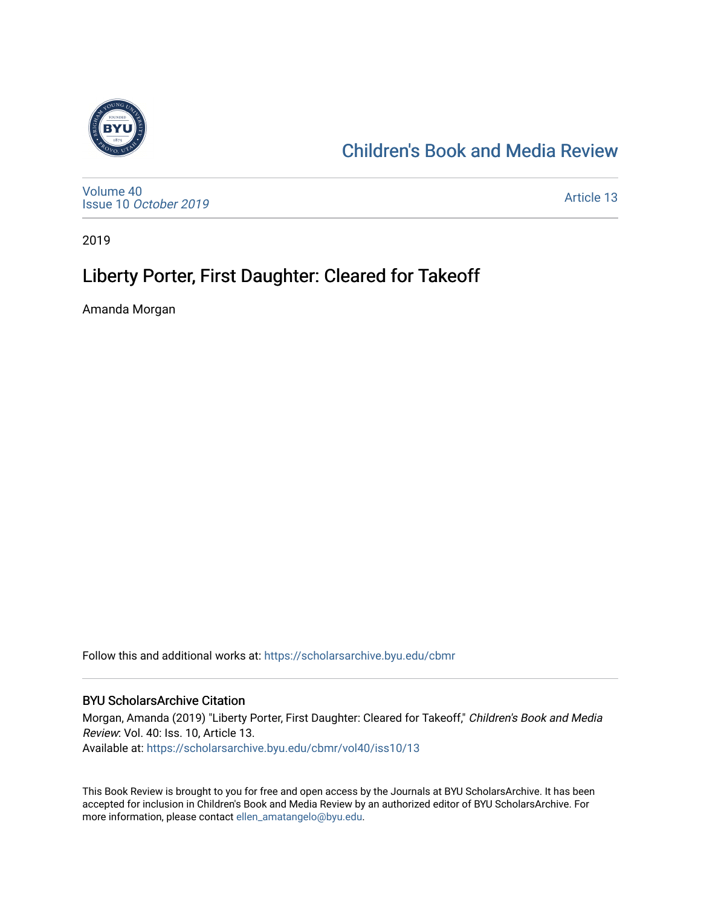

## [Children's Book and Media Review](https://scholarsarchive.byu.edu/cbmr)

[Volume 40](https://scholarsarchive.byu.edu/cbmr/vol40) Issue 10 [October 2019](https://scholarsarchive.byu.edu/cbmr/vol40/iss10)

[Article 13](https://scholarsarchive.byu.edu/cbmr/vol40/iss10/13) 

2019

## Liberty Porter, First Daughter: Cleared for Takeoff

Amanda Morgan

Follow this and additional works at: [https://scholarsarchive.byu.edu/cbmr](https://scholarsarchive.byu.edu/cbmr?utm_source=scholarsarchive.byu.edu%2Fcbmr%2Fvol40%2Fiss10%2F13&utm_medium=PDF&utm_campaign=PDFCoverPages) 

#### BYU ScholarsArchive Citation

Morgan, Amanda (2019) "Liberty Porter, First Daughter: Cleared for Takeoff," Children's Book and Media Review: Vol. 40: Iss. 10, Article 13. Available at: [https://scholarsarchive.byu.edu/cbmr/vol40/iss10/13](https://scholarsarchive.byu.edu/cbmr/vol40/iss10/13?utm_source=scholarsarchive.byu.edu%2Fcbmr%2Fvol40%2Fiss10%2F13&utm_medium=PDF&utm_campaign=PDFCoverPages) 

This Book Review is brought to you for free and open access by the Journals at BYU ScholarsArchive. It has been accepted for inclusion in Children's Book and Media Review by an authorized editor of BYU ScholarsArchive. For more information, please contact [ellen\\_amatangelo@byu.edu.](mailto:ellen_amatangelo@byu.edu)